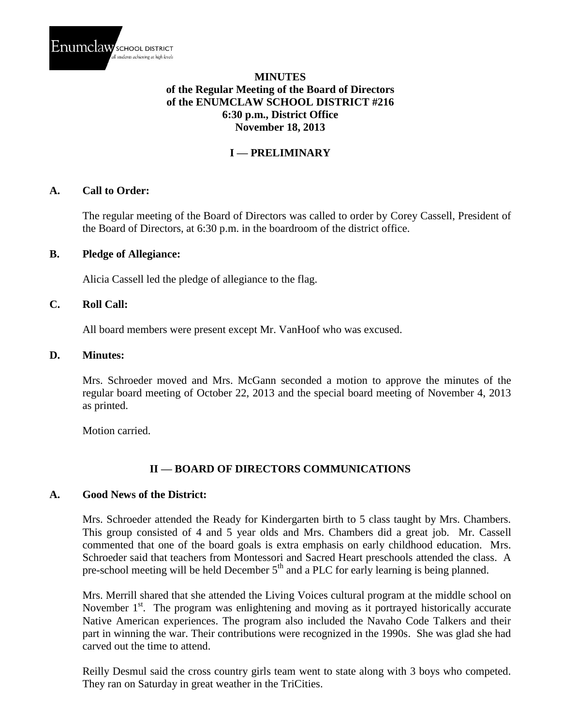

# **MINUTES of the Regular Meeting of the Board of Directors of the ENUMCLAW SCHOOL DISTRICT #216 6:30 p.m., District Office November 18, 2013**

# **I — PRELIMINARY**

### **A. Call to Order:**

The regular meeting of the Board of Directors was called to order by Corey Cassell, President of the Board of Directors, at 6:30 p.m. in the boardroom of the district office.

### **B. Pledge of Allegiance:**

Alicia Cassell led the pledge of allegiance to the flag.

### **C. Roll Call:**

All board members were present except Mr. VanHoof who was excused.

### **D. Minutes:**

Mrs. Schroeder moved and Mrs. McGann seconded a motion to approve the minutes of the regular board meeting of October 22, 2013 and the special board meeting of November 4, 2013 as printed.

Motion carried.

### **II — BOARD OF DIRECTORS COMMUNICATIONS**

### **A. Good News of the District:**

Mrs. Schroeder attended the Ready for Kindergarten birth to 5 class taught by Mrs. Chambers. This group consisted of 4 and 5 year olds and Mrs. Chambers did a great job. Mr. Cassell commented that one of the board goals is extra emphasis on early childhood education. Mrs. Schroeder said that teachers from Montessori and Sacred Heart preschools attended the class. A pre-school meeting will be held December  $5<sup>th</sup>$  and a PLC for early learning is being planned.

Mrs. Merrill shared that she attended the Living Voices cultural program at the middle school on November  $1<sup>st</sup>$ . The program was enlightening and moving as it portrayed historically accurate Native American experiences. The program also included the Navaho Code Talkers and their part in winning the war. Their contributions were recognized in the 1990s. She was glad she had carved out the time to attend.

Reilly Desmul said the cross country girls team went to state along with 3 boys who competed. They ran on Saturday in great weather in the TriCities.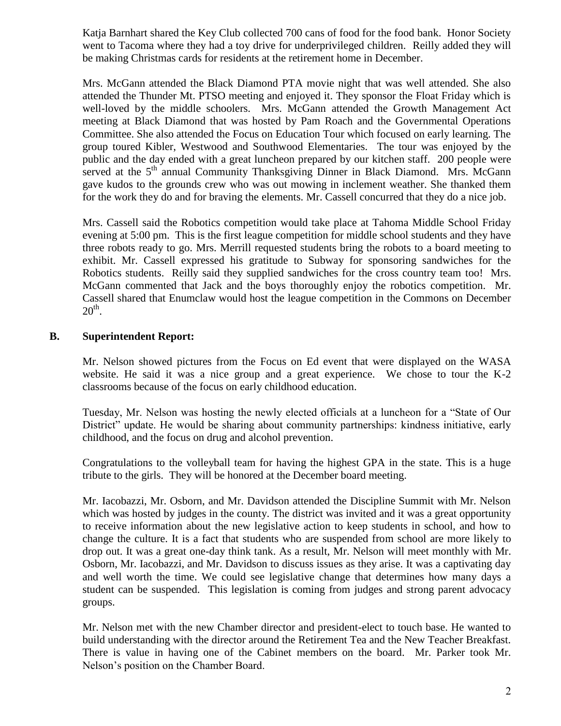Katja Barnhart shared the Key Club collected 700 cans of food for the food bank. Honor Society went to Tacoma where they had a toy drive for underprivileged children. Reilly added they will be making Christmas cards for residents at the retirement home in December.

Mrs. McGann attended the Black Diamond PTA movie night that was well attended. She also attended the Thunder Mt. PTSO meeting and enjoyed it. They sponsor the Float Friday which is well-loved by the middle schoolers. Mrs. McGann attended the Growth Management Act meeting at Black Diamond that was hosted by Pam Roach and the Governmental Operations Committee. She also attended the Focus on Education Tour which focused on early learning. The group toured Kibler, Westwood and Southwood Elementaries. The tour was enjoyed by the public and the day ended with a great luncheon prepared by our kitchen staff. 200 people were served at the 5<sup>th</sup> annual Community Thanksgiving Dinner in Black Diamond. Mrs. McGann gave kudos to the grounds crew who was out mowing in inclement weather. She thanked them for the work they do and for braving the elements. Mr. Cassell concurred that they do a nice job.

Mrs. Cassell said the Robotics competition would take place at Tahoma Middle School Friday evening at 5:00 pm. This is the first league competition for middle school students and they have three robots ready to go. Mrs. Merrill requested students bring the robots to a board meeting to exhibit. Mr. Cassell expressed his gratitude to Subway for sponsoring sandwiches for the Robotics students. Reilly said they supplied sandwiches for the cross country team too! Mrs. McGann commented that Jack and the boys thoroughly enjoy the robotics competition. Mr. Cassell shared that Enumclaw would host the league competition in the Commons on December  $20<sup>th</sup>$ .

# **B. Superintendent Report:**

Mr. Nelson showed pictures from the Focus on Ed event that were displayed on the WASA website. He said it was a nice group and a great experience. We chose to tour the K-2 classrooms because of the focus on early childhood education.

Tuesday, Mr. Nelson was hosting the newly elected officials at a luncheon for a "State of Our District" update. He would be sharing about community partnerships: kindness initiative, early childhood, and the focus on drug and alcohol prevention.

Congratulations to the volleyball team for having the highest GPA in the state. This is a huge tribute to the girls. They will be honored at the December board meeting.

Mr. Iacobazzi, Mr. Osborn, and Mr. Davidson attended the Discipline Summit with Mr. Nelson which was hosted by judges in the county. The district was invited and it was a great opportunity to receive information about the new legislative action to keep students in school, and how to change the culture. It is a fact that students who are suspended from school are more likely to drop out. It was a great one-day think tank. As a result, Mr. Nelson will meet monthly with Mr. Osborn, Mr. Iacobazzi, and Mr. Davidson to discuss issues as they arise. It was a captivating day and well worth the time. We could see legislative change that determines how many days a student can be suspended. This legislation is coming from judges and strong parent advocacy groups.

Mr. Nelson met with the new Chamber director and president-elect to touch base. He wanted to build understanding with the director around the Retirement Tea and the New Teacher Breakfast. There is value in having one of the Cabinet members on the board. Mr. Parker took Mr. Nelson's position on the Chamber Board.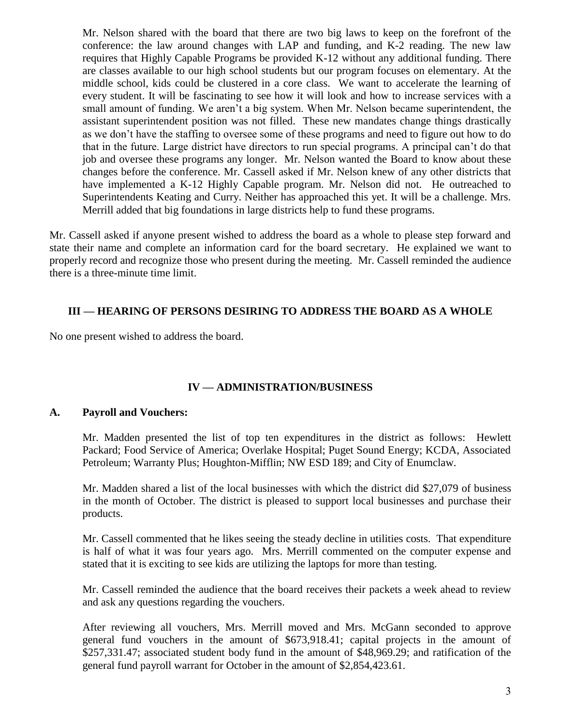Mr. Nelson shared with the board that there are two big laws to keep on the forefront of the conference: the law around changes with LAP and funding, and K-2 reading. The new law requires that Highly Capable Programs be provided K-12 without any additional funding. There are classes available to our high school students but our program focuses on elementary. At the middle school, kids could be clustered in a core class. We want to accelerate the learning of every student. It will be fascinating to see how it will look and how to increase services with a small amount of funding. We aren't a big system. When Mr. Nelson became superintendent, the assistant superintendent position was not filled. These new mandates change things drastically as we don't have the staffing to oversee some of these programs and need to figure out how to do that in the future. Large district have directors to run special programs. A principal can't do that job and oversee these programs any longer. Mr. Nelson wanted the Board to know about these changes before the conference. Mr. Cassell asked if Mr. Nelson knew of any other districts that have implemented a K-12 Highly Capable program. Mr. Nelson did not. He outreached to Superintendents Keating and Curry. Neither has approached this yet. It will be a challenge. Mrs. Merrill added that big foundations in large districts help to fund these programs.

Mr. Cassell asked if anyone present wished to address the board as a whole to please step forward and state their name and complete an information card for the board secretary. He explained we want to properly record and recognize those who present during the meeting. Mr. Cassell reminded the audience there is a three-minute time limit.

### **III — HEARING OF PERSONS DESIRING TO ADDRESS THE BOARD AS A WHOLE**

No one present wished to address the board.

# **IV — ADMINISTRATION/BUSINESS**

### **A. Payroll and Vouchers:**

Mr. Madden presented the list of top ten expenditures in the district as follows: Hewlett Packard; Food Service of America; Overlake Hospital; Puget Sound Energy; KCDA, Associated Petroleum; Warranty Plus; Houghton-Mifflin; NW ESD 189; and City of Enumclaw.

Mr. Madden shared a list of the local businesses with which the district did \$27,079 of business in the month of October. The district is pleased to support local businesses and purchase their products.

Mr. Cassell commented that he likes seeing the steady decline in utilities costs. That expenditure is half of what it was four years ago. Mrs. Merrill commented on the computer expense and stated that it is exciting to see kids are utilizing the laptops for more than testing.

Mr. Cassell reminded the audience that the board receives their packets a week ahead to review and ask any questions regarding the vouchers.

After reviewing all vouchers, Mrs. Merrill moved and Mrs. McGann seconded to approve general fund vouchers in the amount of \$673,918.41; capital projects in the amount of \$257,331.47; associated student body fund in the amount of \$48,969.29; and ratification of the general fund payroll warrant for October in the amount of \$2,854,423.61.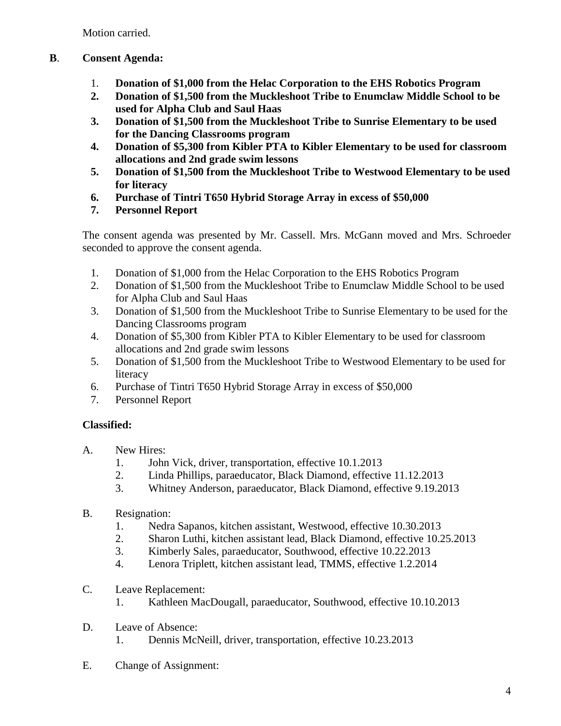Motion carried.

# **B**. **Consent Agenda:**

- 1. **Donation of \$1,000 from the Helac Corporation to the EHS Robotics Program**
- **2. Donation of \$1,500 from the Muckleshoot Tribe to Enumclaw Middle School to be used for Alpha Club and Saul Haas**
- **3. Donation of \$1,500 from the Muckleshoot Tribe to Sunrise Elementary to be used for the Dancing Classrooms program**
- **4. Donation of \$5,300 from Kibler PTA to Kibler Elementary to be used for classroom allocations and 2nd grade swim lessons**
- **5. Donation of \$1,500 from the Muckleshoot Tribe to Westwood Elementary to be used for literacy**
- **6. Purchase of Tintri T650 Hybrid Storage Array in excess of \$50,000**
- **7. Personnel Report**

The consent agenda was presented by Mr. Cassell. Mrs. McGann moved and Mrs. Schroeder seconded to approve the consent agenda.

- 1. Donation of \$1,000 from the Helac Corporation to the EHS Robotics Program
- 2. Donation of \$1,500 from the Muckleshoot Tribe to Enumclaw Middle School to be used for Alpha Club and Saul Haas
- 3. Donation of \$1,500 from the Muckleshoot Tribe to Sunrise Elementary to be used for the Dancing Classrooms program
- 4. Donation of \$5,300 from Kibler PTA to Kibler Elementary to be used for classroom allocations and 2nd grade swim lessons
- 5. Donation of \$1,500 from the Muckleshoot Tribe to Westwood Elementary to be used for literacy
- 6. Purchase of Tintri T650 Hybrid Storage Array in excess of \$50,000
- 7. Personnel Report

# **Classified:**

- A. New Hires:
	- 1. John Vick, driver, transportation, effective 10.1.2013
	- 2. Linda Phillips, paraeducator, Black Diamond, effective 11.12.2013
	- 3. Whitney Anderson, paraeducator, Black Diamond, effective 9.19.2013
- B. Resignation:
	- 1. Nedra Sapanos, kitchen assistant, Westwood, effective 10.30.2013
	- 2. Sharon Luthi, kitchen assistant lead, Black Diamond, effective 10.25.2013
	- 3. Kimberly Sales, paraeducator, Southwood, effective 10.22.2013
	- 4. Lenora Triplett, kitchen assistant lead, TMMS, effective 1.2.2014
- C. Leave Replacement:
	- 1. Kathleen MacDougall, paraeducator, Southwood, effective 10.10.2013
- D. Leave of Absence: 1. Dennis McNeill, driver, transportation, effective 10.23.2013
- E. Change of Assignment: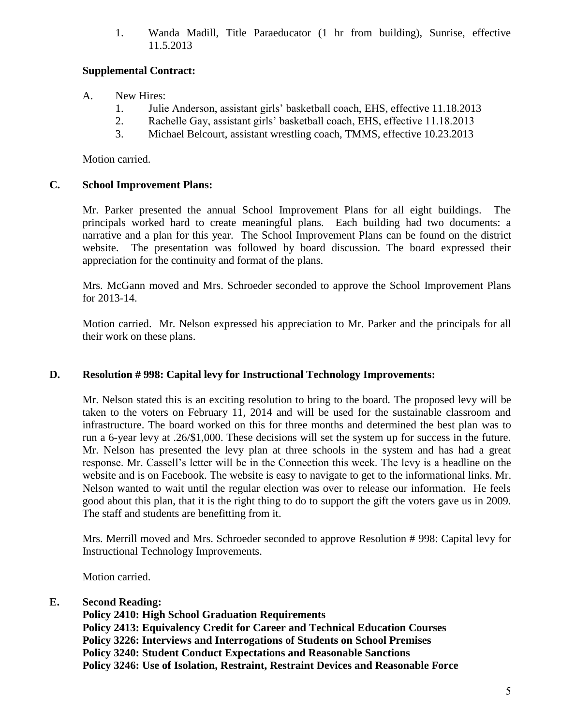1. Wanda Madill, Title Paraeducator (1 hr from building), Sunrise, effective 11.5.2013

# **Supplemental Contract:**

- A. New Hires:
	- 1. Julie Anderson, assistant girls' basketball coach, EHS, effective 11.18.2013
	- 2. Rachelle Gay, assistant girls' basketball coach, EHS, effective 11.18.2013
	- 3. Michael Belcourt, assistant wrestling coach, TMMS, effective 10.23.2013

Motion carried.

# **C. School Improvement Plans:**

Mr. Parker presented the annual School Improvement Plans for all eight buildings. The principals worked hard to create meaningful plans. Each building had two documents: a narrative and a plan for this year. The School Improvement Plans can be found on the district website. The presentation was followed by board discussion. The board expressed their appreciation for the continuity and format of the plans.

Mrs. McGann moved and Mrs. Schroeder seconded to approve the School Improvement Plans for 2013-14.

Motion carried. Mr. Nelson expressed his appreciation to Mr. Parker and the principals for all their work on these plans.

# **D. Resolution # 998: Capital levy for Instructional Technology Improvements:**

Mr. Nelson stated this is an exciting resolution to bring to the board. The proposed levy will be taken to the voters on February 11, 2014 and will be used for the sustainable classroom and infrastructure. The board worked on this for three months and determined the best plan was to run a 6-year levy at .26/\$1,000. These decisions will set the system up for success in the future. Mr. Nelson has presented the levy plan at three schools in the system and has had a great response. Mr. Cassell's letter will be in the Connection this week. The levy is a headline on the website and is on Facebook. The website is easy to navigate to get to the informational links. Mr. Nelson wanted to wait until the regular election was over to release our information. He feels good about this plan, that it is the right thing to do to support the gift the voters gave us in 2009. The staff and students are benefitting from it.

Mrs. Merrill moved and Mrs. Schroeder seconded to approve Resolution # 998: Capital levy for Instructional Technology Improvements.

Motion carried.

# **E. Second Reading:**

**Policy 2410: High School Graduation Requirements Policy 2413: Equivalency Credit for Career and Technical Education Courses Policy 3226: Interviews and Interrogations of Students on School Premises Policy 3240: Student Conduct Expectations and Reasonable Sanctions Policy 3246: Use of Isolation, Restraint, Restraint Devices and Reasonable Force**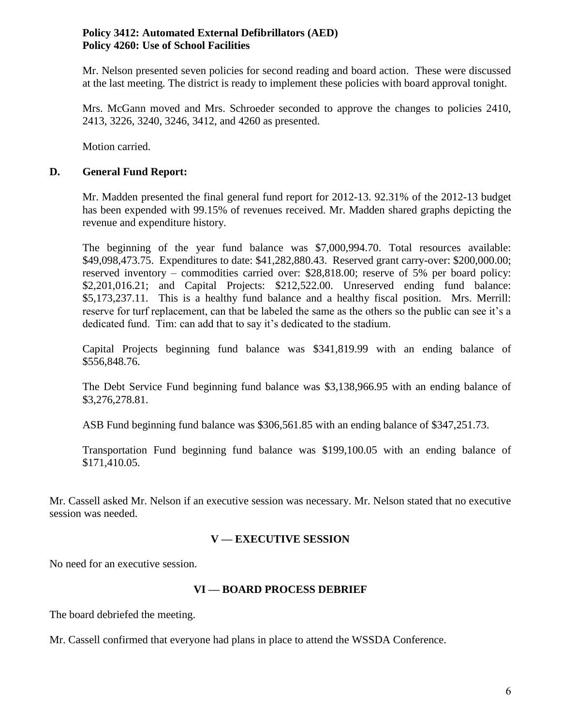# **Policy 3412: Automated External Defibrillators (AED) Policy 4260: Use of School Facilities**

Mr. Nelson presented seven policies for second reading and board action. These were discussed at the last meeting. The district is ready to implement these policies with board approval tonight.

Mrs. McGann moved and Mrs. Schroeder seconded to approve the changes to policies 2410, 2413, 3226, 3240, 3246, 3412, and 4260 as presented.

Motion carried.

### **D. General Fund Report:**

Mr. Madden presented the final general fund report for 2012-13. 92.31% of the 2012-13 budget has been expended with 99.15% of revenues received. Mr. Madden shared graphs depicting the revenue and expenditure history.

The beginning of the year fund balance was \$7,000,994.70. Total resources available: \$49,098,473.75. Expenditures to date: \$41,282,880.43. Reserved grant carry-over: \$200,000.00; reserved inventory – commodities carried over: \$28,818.00; reserve of 5% per board policy: \$2,201,016.21; and Capital Projects: \$212,522.00. Unreserved ending fund balance: \$5,173,237.11. This is a healthy fund balance and a healthy fiscal position. Mrs. Merrill: reserve for turf replacement, can that be labeled the same as the others so the public can see it's a dedicated fund. Tim: can add that to say it's dedicated to the stadium.

Capital Projects beginning fund balance was \$341,819.99 with an ending balance of \$556,848.76.

The Debt Service Fund beginning fund balance was \$3,138,966.95 with an ending balance of \$3,276,278.81.

ASB Fund beginning fund balance was \$306,561.85 with an ending balance of \$347,251.73.

Transportation Fund beginning fund balance was \$199,100.05 with an ending balance of \$171,410.05.

Mr. Cassell asked Mr. Nelson if an executive session was necessary. Mr. Nelson stated that no executive session was needed.

### **V — EXECUTIVE SESSION**

No need for an executive session.

### **VI — BOARD PROCESS DEBRIEF**

The board debriefed the meeting.

Mr. Cassell confirmed that everyone had plans in place to attend the WSSDA Conference.